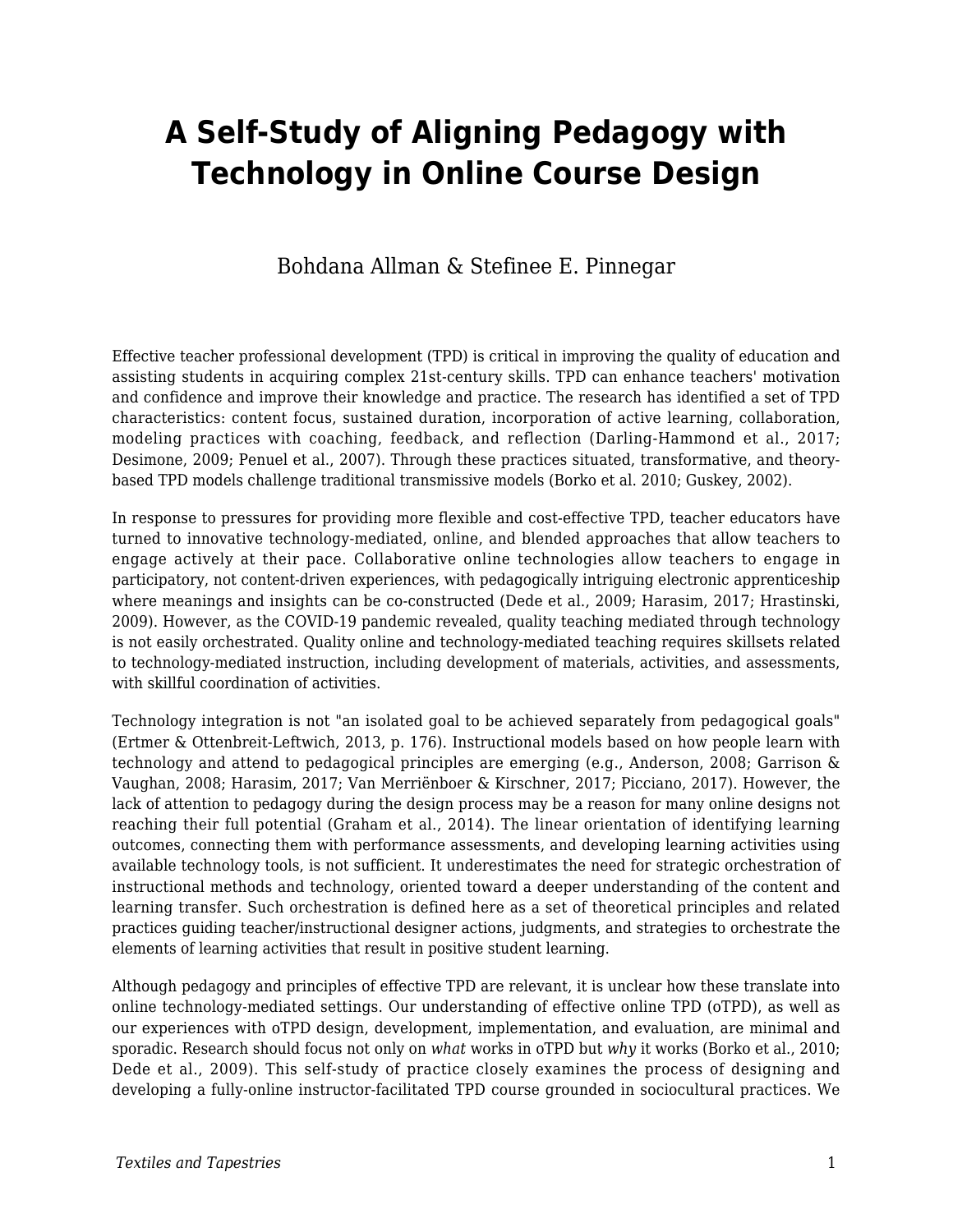# **A Self-Study of Aligning Pedagogy with Technology in Online Course Design**

#### Bohdana Allman & Stefinee E. Pinnegar

Effective teacher professional development (TPD) is critical in improving the quality of education and assisting students in acquiring complex 21st-century skills. TPD can enhance teachers' motivation and confidence and improve their knowledge and practice. The research has identified a set of TPD characteristics: content focus, sustained duration, incorporation of active learning, collaboration, modeling practices with coaching, feedback, and reflection (Darling-Hammond et al., 2017; Desimone, 2009; Penuel et al., 2007). Through these practices situated, transformative, and theorybased TPD models challenge traditional transmissive models (Borko et al. 2010; Guskey, 2002).

In response to pressures for providing more flexible and cost-effective TPD, teacher educators have turned to innovative technology-mediated, online, and blended approaches that allow teachers to engage actively at their pace. Collaborative online technologies allow teachers to engage in participatory, not content-driven experiences, with pedagogically intriguing electronic apprenticeship where meanings and insights can be co-constructed (Dede et al., 2009; Harasim, 2017; Hrastinski, 2009). However, as the COVID-19 pandemic revealed, quality teaching mediated through technology is not easily orchestrated. Quality online and technology-mediated teaching requires skillsets related to technology-mediated instruction, including development of materials, activities, and assessments, with skillful coordination of activities.

Technology integration is not "an isolated goal to be achieved separately from pedagogical goals" (Ertmer & Ottenbreit-Leftwich, 2013, p. 176). Instructional models based on how people learn with technology and attend to pedagogical principles are emerging (e.g., Anderson, 2008; Garrison & Vaughan, 2008; Harasim, 2017; Van Merriënboer & Kirschner, 2017; Picciano, 2017). However, the lack of attention to pedagogy during the design process may be a reason for many online designs not reaching their full potential (Graham et al., 2014). The linear orientation of identifying learning outcomes, connecting them with performance assessments, and developing learning activities using available technology tools, is not sufficient. It underestimates the need for strategic orchestration of instructional methods and technology, oriented toward a deeper understanding of the content and learning transfer. Such orchestration is defined here as a set of theoretical principles and related practices guiding teacher/instructional designer actions, judgments, and strategies to orchestrate the elements of learning activities that result in positive student learning.

Although pedagogy and principles of effective TPD are relevant, it is unclear how these translate into online technology-mediated settings. Our understanding of effective online TPD (oTPD), as well as our experiences with oTPD design, development, implementation, and evaluation, are minimal and sporadic. Research should focus not only on *what* works in oTPD but *why* it works (Borko et al., 2010; Dede et al., 2009). This self-study of practice closely examines the process of designing and developing a fully-online instructor-facilitated TPD course grounded in sociocultural practices. We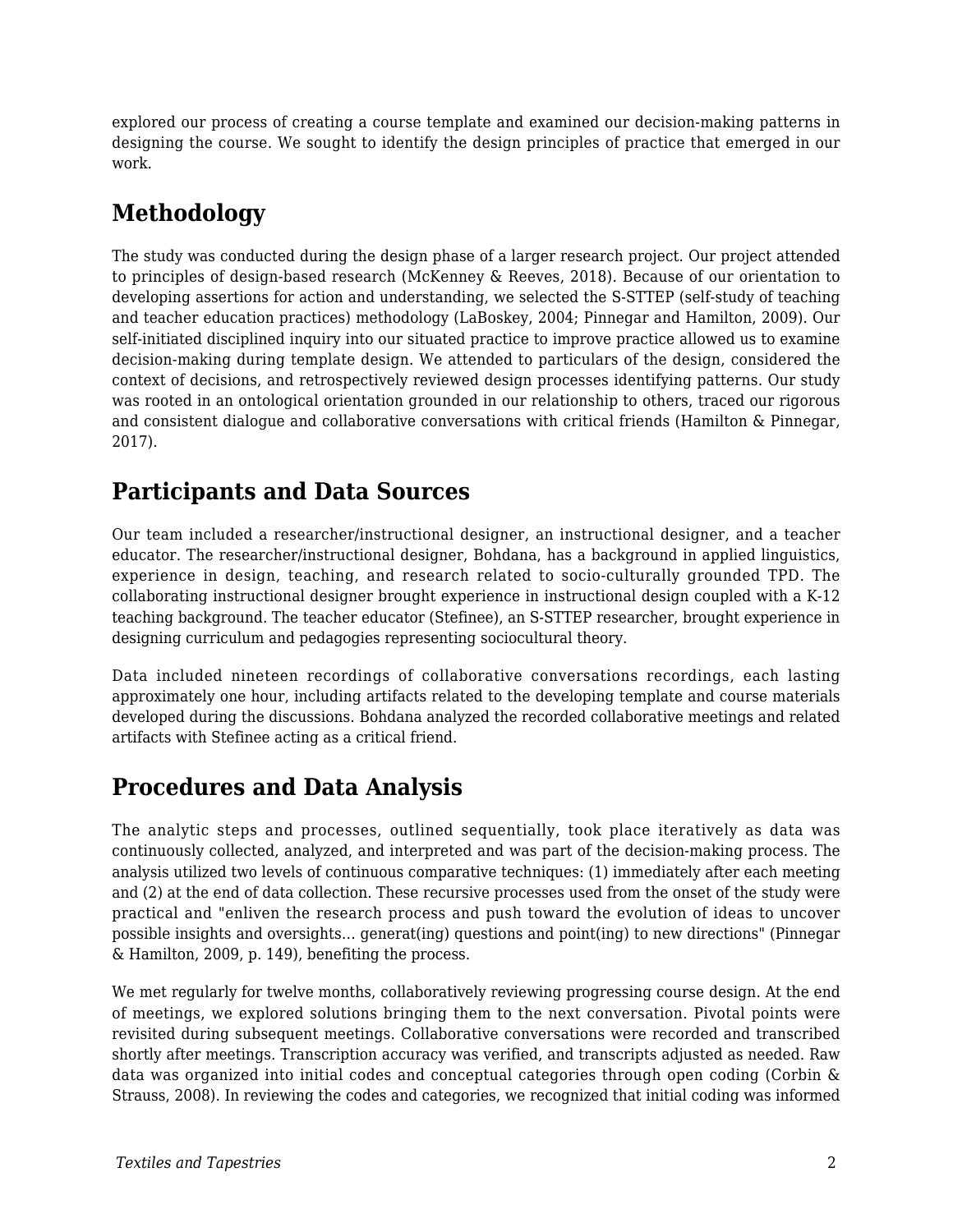explored our process of creating a course template and examined our decision-making patterns in designing the course. We sought to identify the design principles of practice that emerged in our work.

## **Methodology**

The study was conducted during the design phase of a larger research project. Our project attended to principles of design-based research (McKenney & Reeves, 2018). Because of our orientation to developing assertions for action and understanding, we selected the S-STTEP (self-study of teaching and teacher education practices) methodology (LaBoskey, 2004; Pinnegar and Hamilton, 2009). Our self-initiated disciplined inquiry into our situated practice to improve practice allowed us to examine decision-making during template design. We attended to particulars of the design, considered the context of decisions, and retrospectively reviewed design processes identifying patterns. Our study was rooted in an ontological orientation grounded in our relationship to others, traced our rigorous and consistent dialogue and collaborative conversations with critical friends (Hamilton & Pinnegar, 2017).

### **Participants and Data Sources**

Our team included a researcher/instructional designer, an instructional designer, and a teacher educator. The researcher/instructional designer, Bohdana, has a background in applied linguistics, experience in design, teaching, and research related to socio-culturally grounded TPD. The collaborating instructional designer brought experience in instructional design coupled with a K-12 teaching background. The teacher educator (Stefinee), an S-STTEP researcher, brought experience in designing curriculum and pedagogies representing sociocultural theory.

Data included nineteen recordings of collaborative conversations recordings, each lasting approximately one hour, including artifacts related to the developing template and course materials developed during the discussions. Bohdana analyzed the recorded collaborative meetings and related artifacts with Stefinee acting as a critical friend.

### **Procedures and Data Analysis**

The analytic steps and processes, outlined sequentially, took place iteratively as data was continuously collected, analyzed, and interpreted and was part of the decision-making process. The analysis utilized two levels of continuous comparative techniques: (1) immediately after each meeting and (2) at the end of data collection. These recursive processes used from the onset of the study were practical and "enliven the research process and push toward the evolution of ideas to uncover possible insights and oversights… generat(ing) questions and point(ing) to new directions" (Pinnegar & Hamilton, 2009, p. 149), benefiting the process.

We met regularly for twelve months, collaboratively reviewing progressing course design. At the end of meetings, we explored solutions bringing them to the next conversation. Pivotal points were revisited during subsequent meetings. Collaborative conversations were recorded and transcribed shortly after meetings. Transcription accuracy was verified, and transcripts adjusted as needed. Raw data was organized into initial codes and conceptual categories through open coding (Corbin & Strauss, 2008). In reviewing the codes and categories, we recognized that initial coding was informed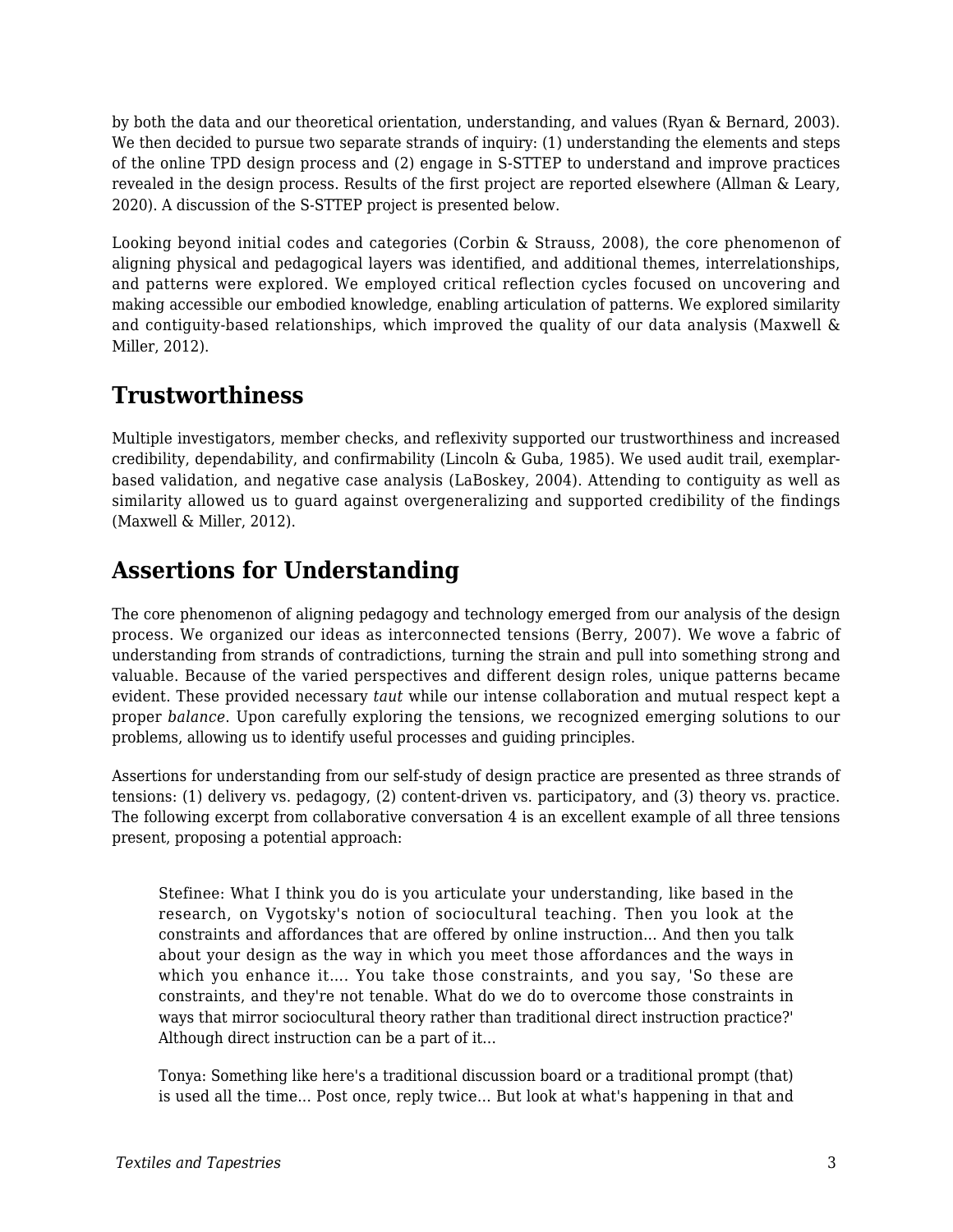by both the data and our theoretical orientation, understanding, and values (Ryan & Bernard, 2003). We then decided to pursue two separate strands of inquiry: (1) understanding the elements and steps of the online TPD design process and (2) engage in S-STTEP to understand and improve practices revealed in the design process. Results of the first project are reported elsewhere (Allman & Leary, 2020). A discussion of the S-STTEP project is presented below.

Looking beyond initial codes and categories (Corbin & Strauss, 2008), the core phenomenon of aligning physical and pedagogical layers was identified, and additional themes, interrelationships, and patterns were explored. We employed critical reflection cycles focused on uncovering and making accessible our embodied knowledge, enabling articulation of patterns. We explored similarity and contiguity-based relationships, which improved the quality of our data analysis (Maxwell & Miller, 2012).

### **Trustworthiness**

Multiple investigators, member checks, and reflexivity supported our trustworthiness and increased credibility, dependability, and confirmability (Lincoln & Guba, 1985). We used audit trail, exemplarbased validation, and negative case analysis (LaBoskey, 2004). Attending to contiguity as well as similarity allowed us to guard against overgeneralizing and supported credibility of the findings (Maxwell & Miller, 2012).

### **Assertions for Understanding**

The core phenomenon of aligning pedagogy and technology emerged from our analysis of the design process. We organized our ideas as interconnected tensions (Berry, 2007). We wove a fabric of understanding from strands of contradictions, turning the strain and pull into something strong and valuable. Because of the varied perspectives and different design roles, unique patterns became evident. These provided necessary *taut* while our intense collaboration and mutual respect kept a proper *balance*. Upon carefully exploring the tensions, we recognized emerging solutions to our problems, allowing us to identify useful processes and guiding principles.

Assertions for understanding from our self-study of design practice are presented as three strands of tensions: (1) delivery vs. pedagogy, (2) content-driven vs. participatory, and (3) theory vs. practice. The following excerpt from collaborative conversation 4 is an excellent example of all three tensions present, proposing a potential approach:

Stefinee: What I think you do is you articulate your understanding, like based in the research, on Vygotsky's notion of sociocultural teaching. Then you look at the constraints and affordances that are offered by online instruction... And then you talk about your design as the way in which you meet those affordances and the ways in which you enhance it…. You take those constraints, and you say, 'So these are constraints, and they're not tenable. What do we do to overcome those constraints in ways that mirror sociocultural theory rather than traditional direct instruction practice?' Although direct instruction can be a part of it…

Tonya: Something like here's a traditional discussion board or a traditional prompt (that) is used all the time... Post once, reply twice… But look at what's happening in that and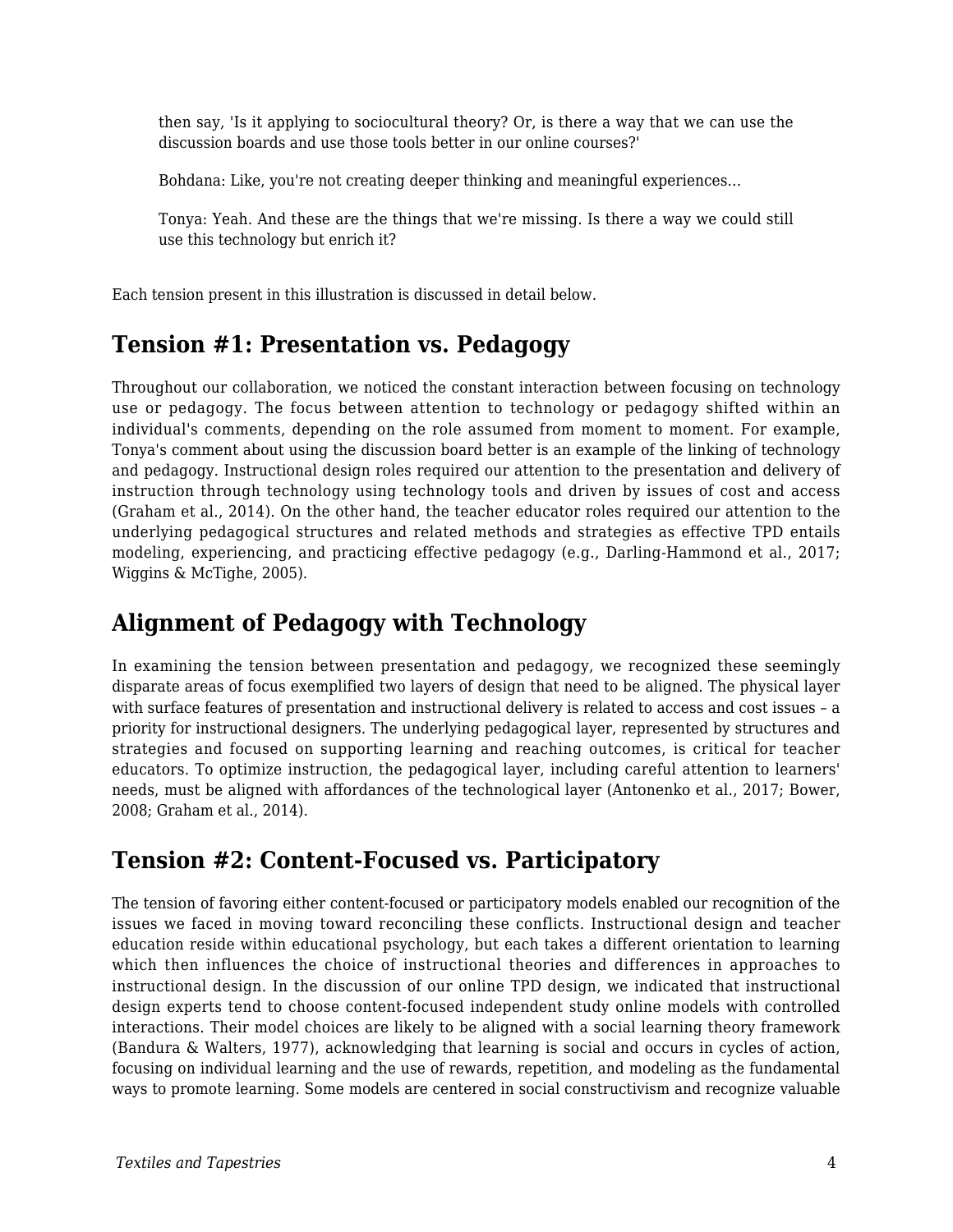then say, 'Is it applying to sociocultural theory? Or, is there a way that we can use the discussion boards and use those tools better in our online courses?'

Bohdana: Like, you're not creating deeper thinking and meaningful experiences…

Tonya: Yeah. And these are the things that we're missing. Is there a way we could still use this technology but enrich it?

Each tension present in this illustration is discussed in detail below.

#### **Tension #1: Presentation vs. Pedagogy**

Throughout our collaboration, we noticed the constant interaction between focusing on technology use or pedagogy. The focus between attention to technology or pedagogy shifted within an individual's comments, depending on the role assumed from moment to moment. For example, Tonya's comment about using the discussion board better is an example of the linking of technology and pedagogy. Instructional design roles required our attention to the presentation and delivery of instruction through technology using technology tools and driven by issues of cost and access (Graham et al., 2014). On the other hand, the teacher educator roles required our attention to the underlying pedagogical structures and related methods and strategies as effective TPD entails modeling, experiencing, and practicing effective pedagogy (e.g., Darling-Hammond et al., 2017; Wiggins & McTighe, 2005).

#### **Alignment of Pedagogy with Technology**

In examining the tension between presentation and pedagogy, we recognized these seemingly disparate areas of focus exemplified two layers of design that need to be aligned. The physical layer with surface features of presentation and instructional delivery is related to access and cost issues – a priority for instructional designers. The underlying pedagogical layer, represented by structures and strategies and focused on supporting learning and reaching outcomes, is critical for teacher educators. To optimize instruction, the pedagogical layer, including careful attention to learners' needs, must be aligned with affordances of the technological layer (Antonenko et al., 2017; Bower, 2008; Graham et al., 2014).

#### **Tension #2: Content-Focused vs. Participatory**

The tension of favoring either content-focused or participatory models enabled our recognition of the issues we faced in moving toward reconciling these conflicts. Instructional design and teacher education reside within educational psychology, but each takes a different orientation to learning which then influences the choice of instructional theories and differences in approaches to instructional design. In the discussion of our online TPD design, we indicated that instructional design experts tend to choose content-focused independent study online models with controlled interactions. Their model choices are likely to be aligned with a social learning theory framework (Bandura & Walters, 1977), acknowledging that learning is social and occurs in cycles of action, focusing on individual learning and the use of rewards, repetition, and modeling as the fundamental ways to promote learning. Some models are centered in social constructivism and recognize valuable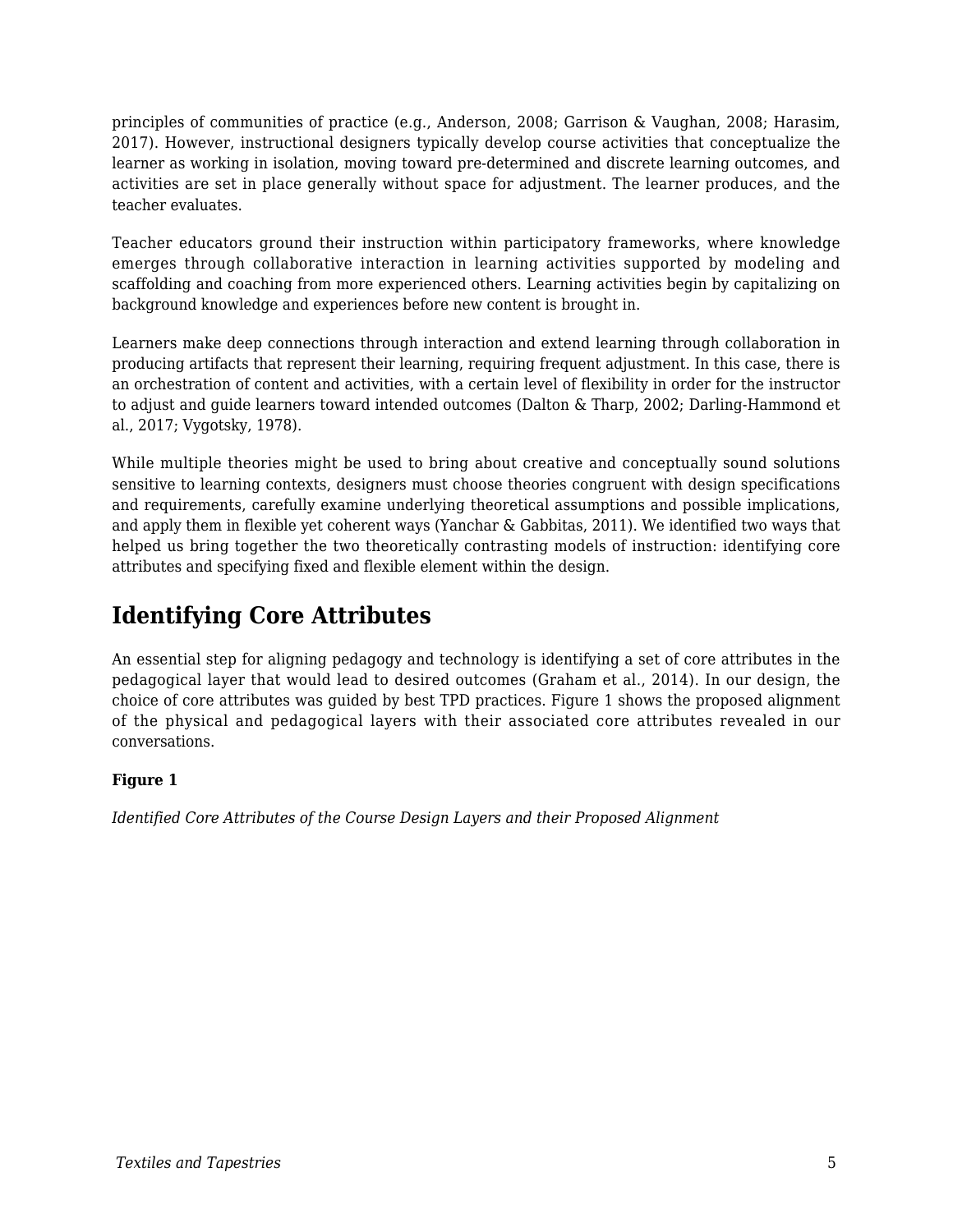principles of communities of practice (e.g., Anderson, 2008; Garrison & Vaughan, 2008; Harasim, 2017). However, instructional designers typically develop course activities that conceptualize the learner as working in isolation, moving toward pre-determined and discrete learning outcomes, and activities are set in place generally without space for adjustment. The learner produces, and the teacher evaluates.

Teacher educators ground their instruction within participatory frameworks, where knowledge emerges through collaborative interaction in learning activities supported by modeling and scaffolding and coaching from more experienced others. Learning activities begin by capitalizing on background knowledge and experiences before new content is brought in.

Learners make deep connections through interaction and extend learning through collaboration in producing artifacts that represent their learning, requiring frequent adjustment. In this case, there is an orchestration of content and activities, with a certain level of flexibility in order for the instructor to adjust and guide learners toward intended outcomes (Dalton & Tharp, 2002; Darling-Hammond et al., 2017; Vygotsky, 1978).

While multiple theories might be used to bring about creative and conceptually sound solutions sensitive to learning contexts, designers must choose theories congruent with design specifications and requirements, carefully examine underlying theoretical assumptions and possible implications, and apply them in flexible yet coherent ways (Yanchar & Gabbitas, 2011). We identified two ways that helped us bring together the two theoretically contrasting models of instruction: identifying core attributes and specifying fixed and flexible element within the design.

## **Identifying Core Attributes**

An essential step for aligning pedagogy and technology is identifying a set of core attributes in the pedagogical layer that would lead to desired outcomes (Graham et al., 2014). In our design, the choice of core attributes was guided by best TPD practices. Figure 1 shows the proposed alignment of the physical and pedagogical layers with their associated core attributes revealed in our conversations.

#### **Figure 1**

*Identified Core Attributes of the Course Design Layers and their Proposed Alignment*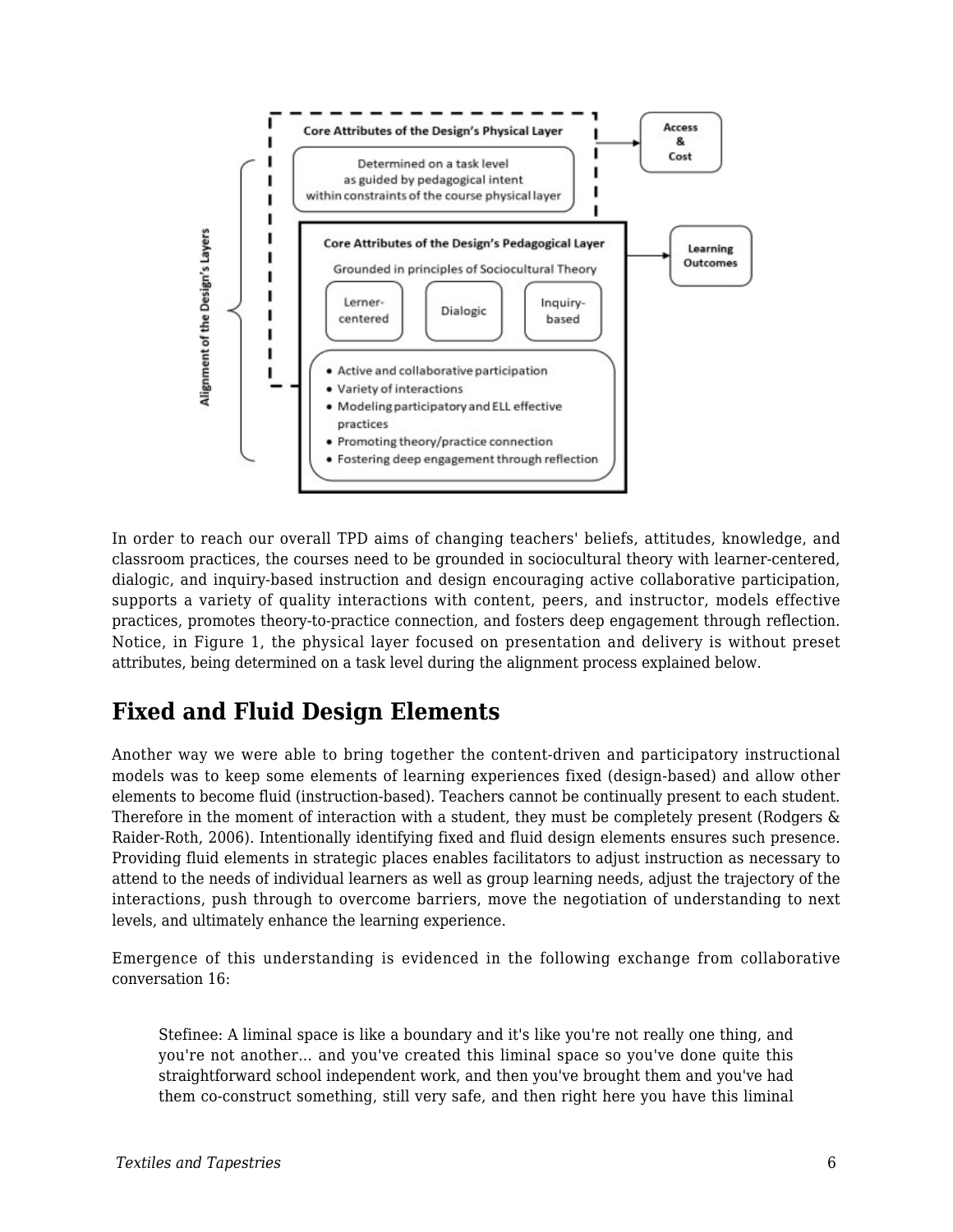

In order to reach our overall TPD aims of changing teachers' beliefs, attitudes, knowledge, and classroom practices, the courses need to be grounded in sociocultural theory with learner-centered, dialogic, and inquiry-based instruction and design encouraging active collaborative participation, supports a variety of quality interactions with content, peers, and instructor, models effective practices, promotes theory-to-practice connection, and fosters deep engagement through reflection. Notice, in Figure 1, the physical layer focused on presentation and delivery is without preset attributes, being determined on a task level during the alignment process explained below.

## **Fixed and Fluid Design Elements**

Another way we were able to bring together the content-driven and participatory instructional models was to keep some elements of learning experiences fixed (design-based) and allow other elements to become fluid (instruction-based). Teachers cannot be continually present to each student. Therefore in the moment of interaction with a student, they must be completely present (Rodgers & Raider-Roth, 2006). Intentionally identifying fixed and fluid design elements ensures such presence. Providing fluid elements in strategic places enables facilitators to adjust instruction as necessary to attend to the needs of individual learners as well as group learning needs, adjust the trajectory of the interactions, push through to overcome barriers, move the negotiation of understanding to next levels, and ultimately enhance the learning experience.

Emergence of this understanding is evidenced in the following exchange from collaborative conversation 16:

Stefinee: A liminal space is like a boundary and it's like you're not really one thing, and you're not another… and you've created this liminal space so you've done quite this straightforward school independent work, and then you've brought them and you've had them co-construct something, still very safe, and then right here you have this liminal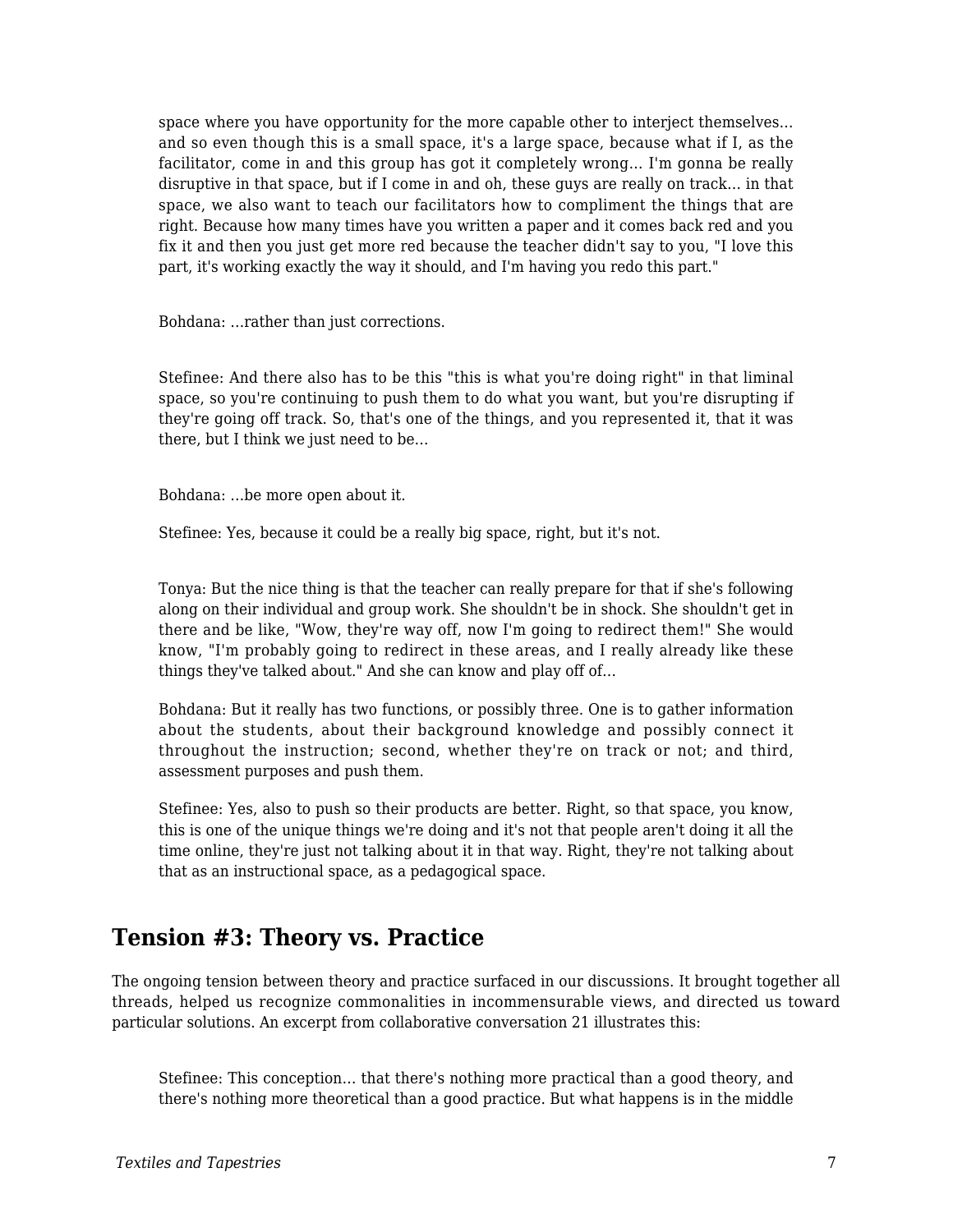space where you have opportunity for the more capable other to interject themselves… and so even though this is a small space, it's a large space, because what if I, as the facilitator, come in and this group has got it completely wrong… I'm gonna be really disruptive in that space, but if I come in and oh, these guys are really on track… in that space, we also want to teach our facilitators how to compliment the things that are right. Because how many times have you written a paper and it comes back red and you fix it and then you just get more red because the teacher didn't say to you, "I love this part, it's working exactly the way it should, and I'm having you redo this part."

Bohdana: …rather than just corrections.

Stefinee: And there also has to be this "this is what you're doing right" in that liminal space, so you're continuing to push them to do what you want, but you're disrupting if they're going off track. So, that's one of the things, and you represented it, that it was there, but I think we just need to be…

Bohdana: …be more open about it.

Stefinee: Yes, because it could be a really big space, right, but it's not.

Tonya: But the nice thing is that the teacher can really prepare for that if she's following along on their individual and group work. She shouldn't be in shock. She shouldn't get in there and be like, "Wow, they're way off, now I'm going to redirect them!" She would know, "I'm probably going to redirect in these areas, and I really already like these things they've talked about." And she can know and play off of…

Bohdana: But it really has two functions, or possibly three. One is to gather information about the students, about their background knowledge and possibly connect it throughout the instruction; second, whether they're on track or not; and third, assessment purposes and push them.

Stefinee: Yes, also to push so their products are better. Right, so that space, you know, this is one of the unique things we're doing and it's not that people aren't doing it all the time online, they're just not talking about it in that way. Right, they're not talking about that as an instructional space, as a pedagogical space.

#### **Tension #3: Theory vs. Practice**

The ongoing tension between theory and practice surfaced in our discussions. It brought together all threads, helped us recognize commonalities in incommensurable views, and directed us toward particular solutions. An excerpt from collaborative conversation 21 illustrates this:

Stefinee: This conception… that there's nothing more practical than a good theory, and there's nothing more theoretical than a good practice. But what happens is in the middle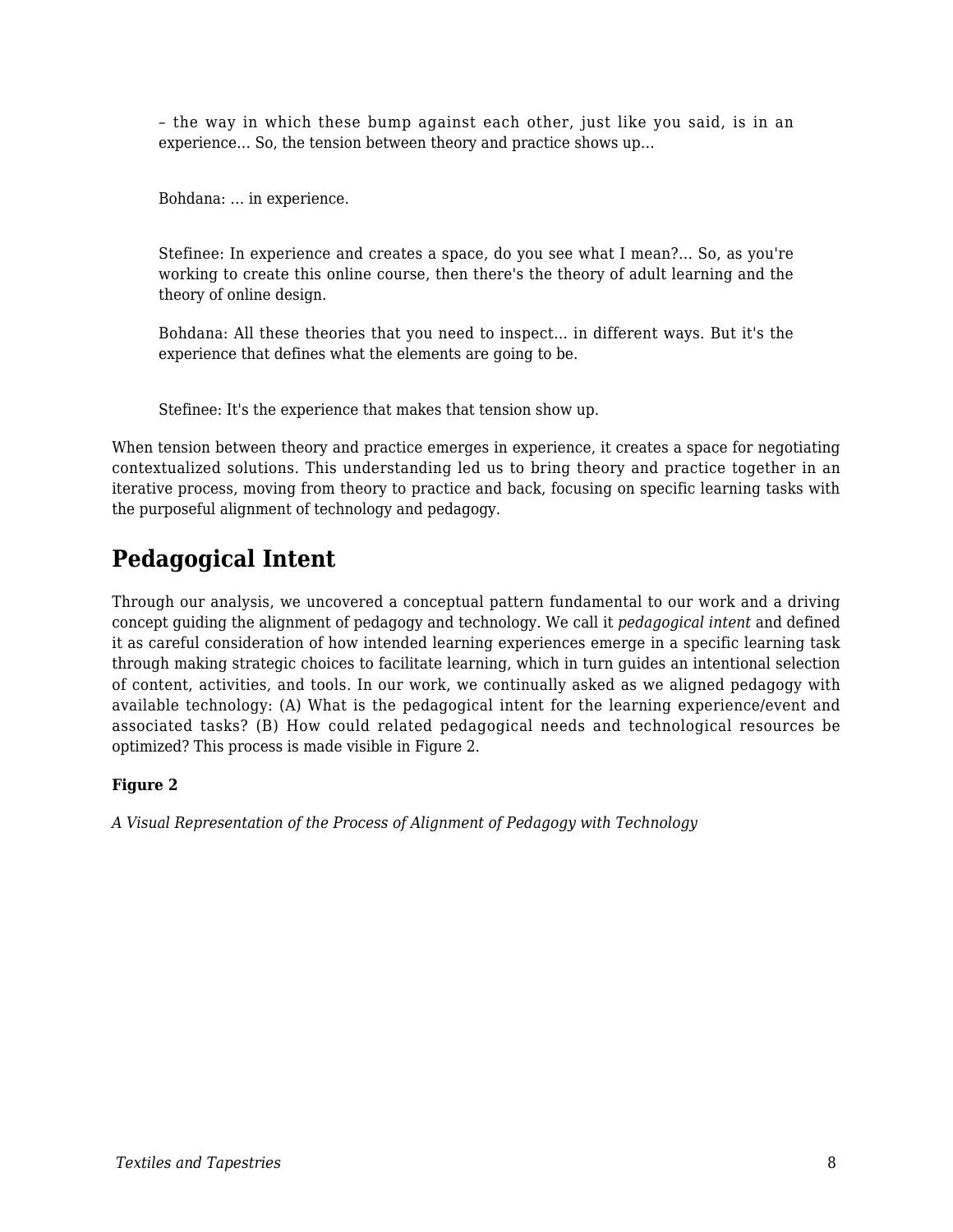– the way in which these bump against each other, just like you said, is in an experience… So, the tension between theory and practice shows up…

Bohdana: … in experience.

Stefinee: In experience and creates a space, do you see what I mean?... So, as you're working to create this online course, then there's the theory of adult learning and the theory of online design.

Bohdana: All these theories that you need to inspect… in different ways. But it's the experience that defines what the elements are going to be.

Stefinee: It's the experience that makes that tension show up.

When tension between theory and practice emerges in experience, it creates a space for negotiating contextualized solutions. This understanding led us to bring theory and practice together in an iterative process, moving from theory to practice and back, focusing on specific learning tasks with the purposeful alignment of technology and pedagogy.

## **Pedagogical Intent**

Through our analysis, we uncovered a conceptual pattern fundamental to our work and a driving concept guiding the alignment of pedagogy and technology. We call it *pedagogical intent* and defined it as careful consideration of how intended learning experiences emerge in a specific learning task through making strategic choices to facilitate learning, which in turn guides an intentional selection of content, activities, and tools. In our work, we continually asked as we aligned pedagogy with available technology: (A) What is the pedagogical intent for the learning experience/event and associated tasks? (B) How could related pedagogical needs and technological resources be optimized? This process is made visible in Figure 2.

#### **Figure 2**

*A Visual Representation of the Process of Alignment of Pedagogy with Technology*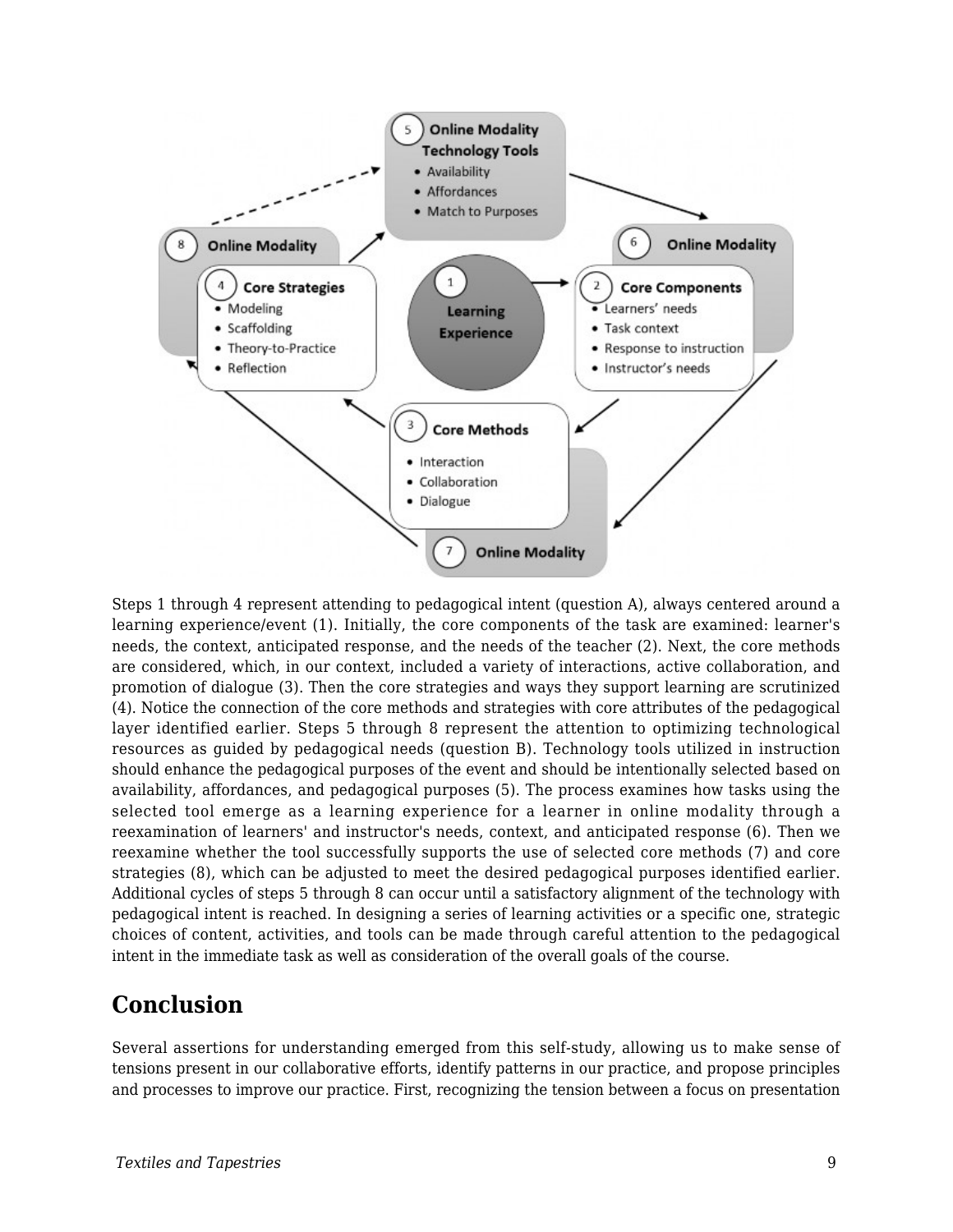

Steps 1 through 4 represent attending to pedagogical intent (question A), always centered around a learning experience/event (1). Initially, the core components of the task are examined: learner's needs, the context, anticipated response, and the needs of the teacher (2). Next, the core methods are considered, which, in our context, included a variety of interactions, active collaboration, and promotion of dialogue (3). Then the core strategies and ways they support learning are scrutinized (4). Notice the connection of the core methods and strategies with core attributes of the pedagogical layer identified earlier. Steps 5 through 8 represent the attention to optimizing technological resources as guided by pedagogical needs (question B). Technology tools utilized in instruction should enhance the pedagogical purposes of the event and should be intentionally selected based on availability, affordances, and pedagogical purposes (5). The process examines how tasks using the selected tool emerge as a learning experience for a learner in online modality through a reexamination of learners' and instructor's needs, context, and anticipated response (6). Then we reexamine whether the tool successfully supports the use of selected core methods (7) and core strategies (8), which can be adjusted to meet the desired pedagogical purposes identified earlier. Additional cycles of steps 5 through 8 can occur until a satisfactory alignment of the technology with pedagogical intent is reached. In designing a series of learning activities or a specific one, strategic choices of content, activities, and tools can be made through careful attention to the pedagogical intent in the immediate task as well as consideration of the overall goals of the course.

#### **Conclusion**

Several assertions for understanding emerged from this self-study, allowing us to make sense of tensions present in our collaborative efforts, identify patterns in our practice, and propose principles and processes to improve our practice. First, recognizing the tension between a focus on presentation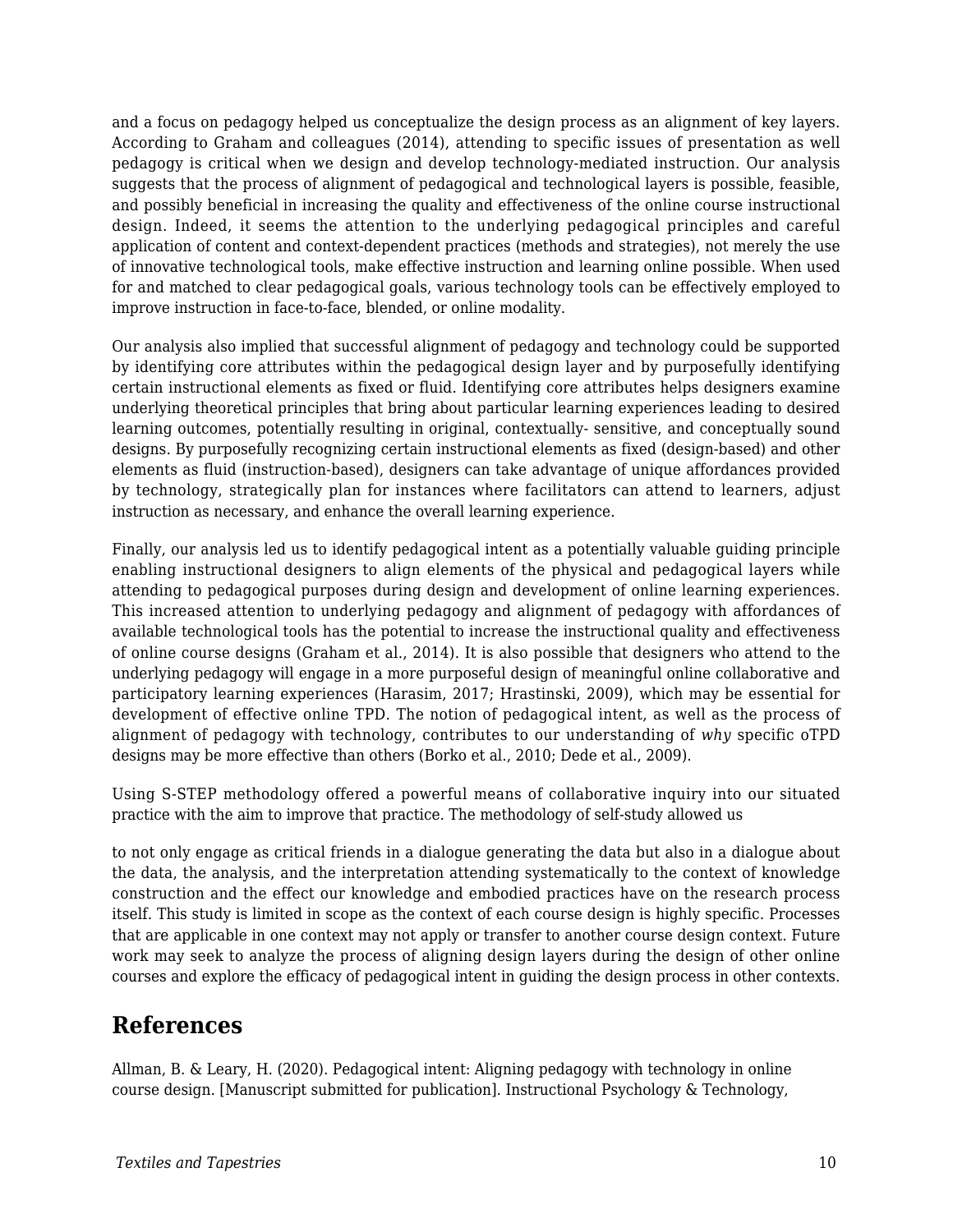and a focus on pedagogy helped us conceptualize the design process as an alignment of key layers. According to Graham and colleagues (2014), attending to specific issues of presentation as well pedagogy is critical when we design and develop technology-mediated instruction. Our analysis suggests that the process of alignment of pedagogical and technological layers is possible, feasible, and possibly beneficial in increasing the quality and effectiveness of the online course instructional design. Indeed, it seems the attention to the underlying pedagogical principles and careful application of content and context-dependent practices (methods and strategies), not merely the use of innovative technological tools, make effective instruction and learning online possible. When used for and matched to clear pedagogical goals, various technology tools can be effectively employed to improve instruction in face-to-face, blended, or online modality.

Our analysis also implied that successful alignment of pedagogy and technology could be supported by identifying core attributes within the pedagogical design layer and by purposefully identifying certain instructional elements as fixed or fluid. Identifying core attributes helps designers examine underlying theoretical principles that bring about particular learning experiences leading to desired learning outcomes, potentially resulting in original, contextually- sensitive, and conceptually sound designs. By purposefully recognizing certain instructional elements as fixed (design-based) and other elements as fluid (instruction-based), designers can take advantage of unique affordances provided by technology, strategically plan for instances where facilitators can attend to learners, adjust instruction as necessary, and enhance the overall learning experience.

Finally, our analysis led us to identify pedagogical intent as a potentially valuable guiding principle enabling instructional designers to align elements of the physical and pedagogical layers while attending to pedagogical purposes during design and development of online learning experiences. This increased attention to underlying pedagogy and alignment of pedagogy with affordances of available technological tools has the potential to increase the instructional quality and effectiveness of online course designs (Graham et al., 2014). It is also possible that designers who attend to the underlying pedagogy will engage in a more purposeful design of meaningful online collaborative and participatory learning experiences (Harasim, 2017; Hrastinski, 2009), which may be essential for development of effective online TPD. The notion of pedagogical intent, as well as the process of alignment of pedagogy with technology, contributes to our understanding of *why* specific oTPD designs may be more effective than others (Borko et al., 2010; Dede et al., 2009).

Using S-STEP methodology offered a powerful means of collaborative inquiry into our situated practice with the aim to improve that practice. The methodology of self-study allowed us

to not only engage as critical friends in a dialogue generating the data but also in a dialogue about the data, the analysis, and the interpretation attending systematically to the context of knowledge construction and the effect our knowledge and embodied practices have on the research process itself. This study is limited in scope as the context of each course design is highly specific. Processes that are applicable in one context may not apply or transfer to another course design context. Future work may seek to analyze the process of aligning design layers during the design of other online courses and explore the efficacy of pedagogical intent in guiding the design process in other contexts.

### **References**

Allman, B. & Leary, H. (2020). Pedagogical intent: Aligning pedagogy with technology in online course design. [Manuscript submitted for publication]. Instructional Psychology & Technology,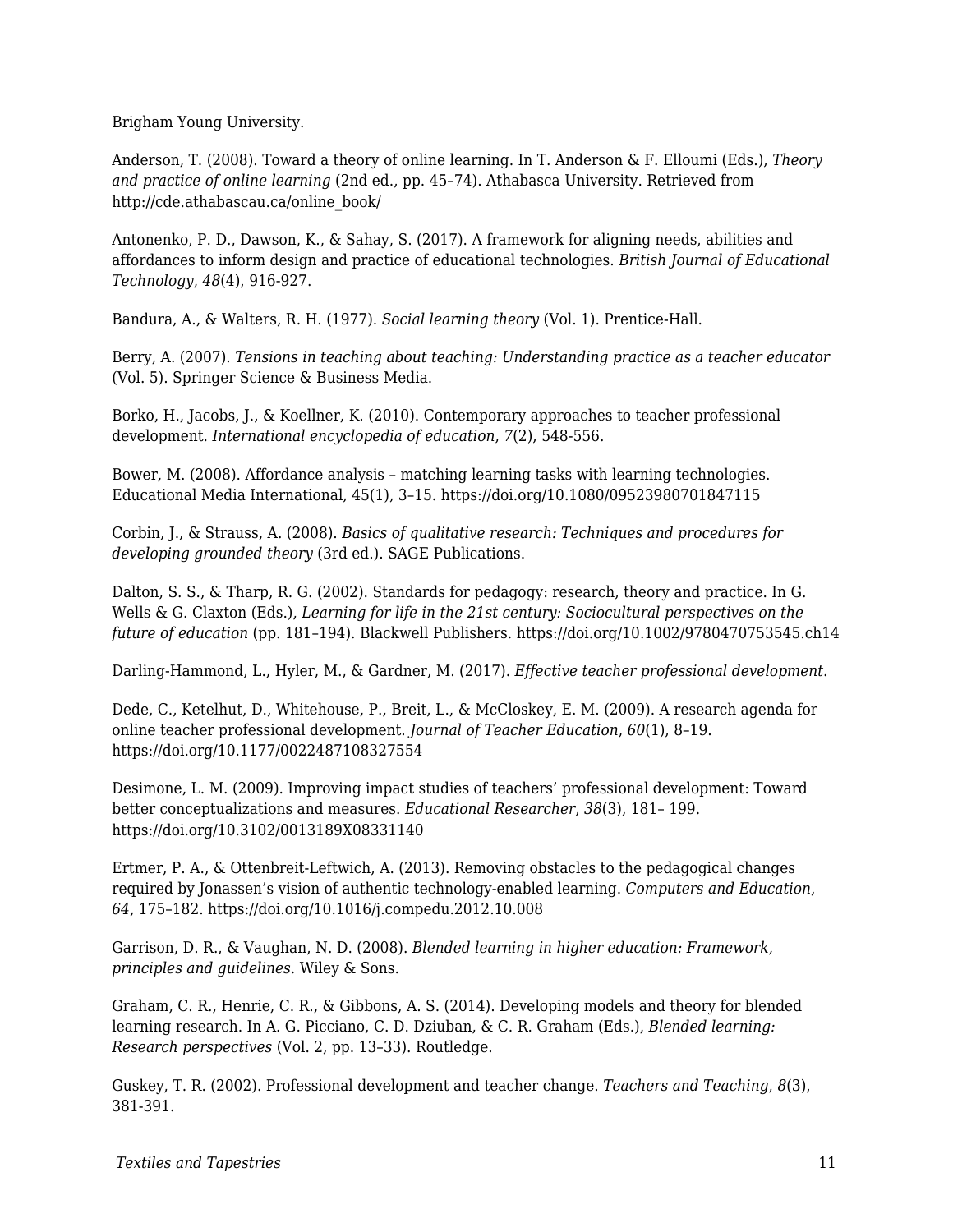Brigham Young University.

Anderson, T. (2008). Toward a theory of online learning. In T. Anderson & F. Elloumi (Eds.), *Theory and practice of online learning* (2nd ed., pp. 45–74). Athabasca University. Retrieved from http://cde.athabascau.ca/online\_book/

Antonenko, P. D., Dawson, K., & Sahay, S. (2017). A framework for aligning needs, abilities and affordances to inform design and practice of educational technologies. *British Journal of Educational Technology*, *48*(4), 916-927.

Bandura, A., & Walters, R. H. (1977). *Social learning theory* (Vol. 1). Prentice-Hall.

Berry, A. (2007). *Tensions in teaching about teaching: Understanding practice as a teacher educator* (Vol. 5). Springer Science & Business Media.

Borko, H., Jacobs, J., & Koellner, K. (2010). Contemporary approaches to teacher professional development. *International encyclopedia of education*, *7*(2), 548-556.

Bower, M. (2008). Affordance analysis – matching learning tasks with learning technologies. Educational Media International, 45(1), 3–15. https://doi.org/10.1080/09523980701847115

Corbin, J., & Strauss, A. (2008). *Basics of qualitative research: Techniques and procedures for developing grounded theory* (3rd ed.). SAGE Publications.

Dalton, S. S., & Tharp, R. G. (2002). Standards for pedagogy: research, theory and practice. In G. Wells & G. Claxton (Eds.), *Learning for life in the 21st century: Sociocultural perspectives on the future of education* (pp. 181–194). Blackwell Publishers. https://doi.org/10.1002/9780470753545.ch14

Darling-Hammond, L., Hyler, M., & Gardner, M. (2017). *Effective teacher professional development*.

Dede, C., Ketelhut, D., Whitehouse, P., Breit, L., & McCloskey, E. M. (2009). A research agenda for online teacher professional development. *Journal of Teacher Education*, *60*(1), 8–19. https://doi.org/10.1177/0022487108327554

Desimone, L. M. (2009). Improving impact studies of teachers' professional development: Toward better conceptualizations and measures. *Educational Researcher*, *38*(3), 181– 199. https://doi.org/10.3102/0013189X08331140

Ertmer, P. A., & Ottenbreit-Leftwich, A. (2013). Removing obstacles to the pedagogical changes required by Jonassen's vision of authentic technology-enabled learning. *Computers and Education*, *64*, 175–182. https://doi.org/10.1016/j.compedu.2012.10.008

Garrison, D. R., & Vaughan, N. D. (2008). *Blended learning in higher education: Framework, principles and guidelines*. Wiley & Sons.

Graham, C. R., Henrie, C. R., & Gibbons, A. S. (2014). Developing models and theory for blended learning research. In A. G. Picciano, C. D. Dziuban, & C. R. Graham (Eds.), *Blended learning: Research perspectives* (Vol. 2, pp. 13–33). Routledge.

Guskey, T. R. (2002). Professional development and teacher change. *Teachers and Teaching*, *8*(3), 381-391.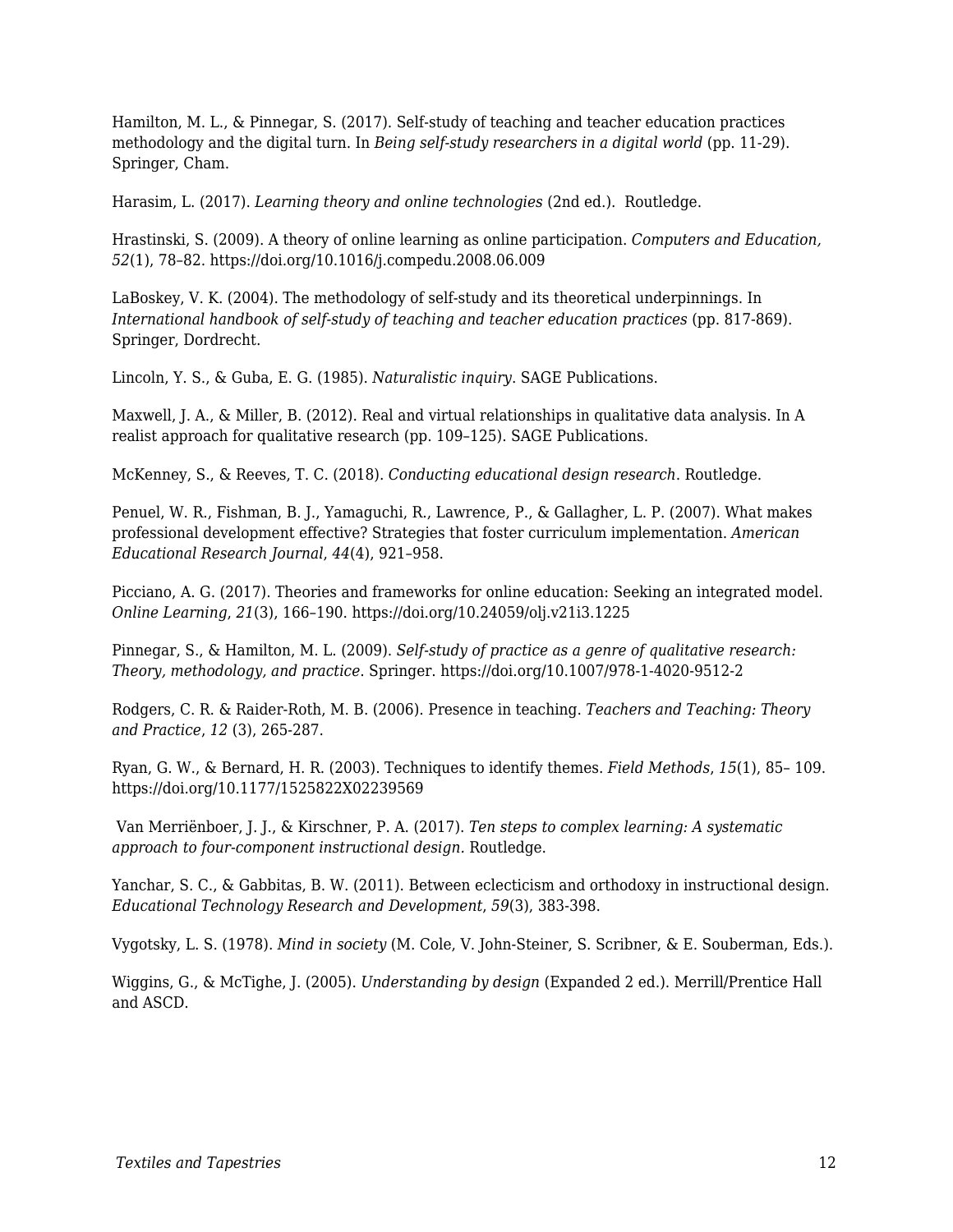Hamilton, M. L., & Pinnegar, S. (2017). Self-study of teaching and teacher education practices methodology and the digital turn. In *Being self-study researchers in a digital world* (pp. 11-29). Springer, Cham.

Harasim, L. (2017). *Learning theory and online technologies* (2nd ed.). Routledge.

Hrastinski, S. (2009). A theory of online learning as online participation. *Computers and Education, 52*(1), 78–82. https://doi.org/10.1016/j.compedu.2008.06.009

LaBoskey, V. K. (2004). The methodology of self-study and its theoretical underpinnings. In *International handbook of self-study of teaching and teacher education practices (pp. 817-869).* Springer, Dordrecht.

Lincoln, Y. S., & Guba, E. G. (1985). *Naturalistic inquiry*. SAGE Publications.

Maxwell, J. A., & Miller, B. (2012). Real and virtual relationships in qualitative data analysis. In A realist approach for qualitative research (pp. 109–125). SAGE Publications.

McKenney, S., & Reeves, T. C. (2018). *Conducting educational design research*. Routledge.

Penuel, W. R., Fishman, B. J., Yamaguchi, R., Lawrence, P., & Gallagher, L. P. (2007). What makes professional development effective? Strategies that foster curriculum implementation. *American Educational Research Journal*, *44*(4), 921–958.

Picciano, A. G. (2017). Theories and frameworks for online education: Seeking an integrated model. *Online Learning*, *21*(3), 166–190. https://doi.org/10.24059/olj.v21i3.1225

Pinnegar, S., & Hamilton, M. L. (2009). *Self-study of practice as a genre of qualitative research: Theory, methodology, and practice*. Springer. https://doi.org/10.1007/978-1-4020-9512-2

Rodgers, C. R. & Raider-Roth, M. B. (2006). Presence in teaching. *Teachers and Teaching: Theory and Practice*, *12* (3), 265-287.

Ryan, G. W., & Bernard, H. R. (2003). Techniques to identify themes. *Field Methods*, *15*(1), 85– 109. https://doi.org/10.1177/1525822X02239569

 Van Merriënboer, J. J., & Kirschner, P. A. (2017). *Ten steps to complex learning: A systematic approach to four-component instructional design.* Routledge.

Yanchar, S. C., & Gabbitas, B. W. (2011). Between eclecticism and orthodoxy in instructional design. *Educational Technology Research and Development*, *59*(3), 383-398.

Vygotsky, L. S. (1978). *Mind in society* (M. Cole, V. John-Steiner, S. Scribner, & E. Souberman, Eds.).

Wiggins, G., & McTighe, J. (2005). *Understanding by design* (Expanded 2 ed.). Merrill/Prentice Hall and ASCD.